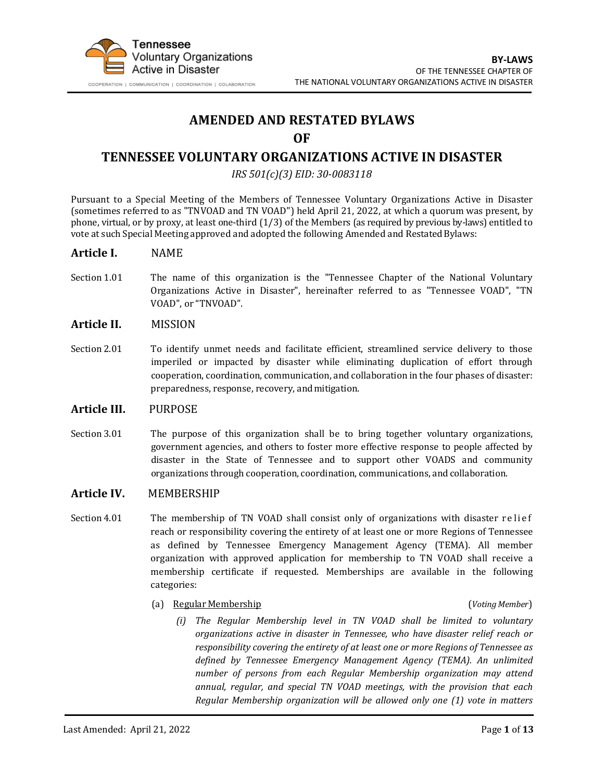

# **AMENDED AND RESTATED BYLAWS**

## **OF**

## **TENNESSEE VOLUNTARY ORGANIZATIONS ACTIVE IN DISASTER**

*IRS 501(c)(3) EID: 30-0083118*

Pursuant to a Special Meeting of the Members of Tennessee Voluntary Organizations Active in Disaster (sometimes referred to as "TNVOAD and TN VOAD") held April 21, 2022, at which a quorum was present, by phone, virtual, or by proxy, at least one-third (1/3) of the Members (as required by previous by-laws) entitled to vote at such Special Meeting approved and adopted the following Amended and RestatedBylaws:

## **Article I.** NAME

Section 1.01 The name of this organization is the "Tennessee Chapter of the National Voluntary Organizations Active in Disaster", hereinafter referred to as "Tennessee VOAD", "TN VOAD", or "TNVOAD".

## **Article II.** MISSION

Section 2.01 To identify unmet needs and facilitate efficient, streamlined service delivery to those imperiled or impacted by disaster while eliminating duplication of effort through cooperation, coordination, communication, and collaboration in the four phases of disaster: preparedness, response, recovery, andmitigation.

## **Article III.** PURPOSE

Section 3.01 The purpose of this organization shall be to bring together voluntary organizations, government agencies, and others to foster more effective response to people affected by disaster in the State of Tennessee and to support other VOADS and community organizations through cooperation, coordination, communications, and collaboration.

## **Article IV.** MEMBERSHIP

- Section 4.01 The membership of TN VOAD shall consist only of organizations with disaster relief reach or responsibility covering the entirety of at least one or more Regions of Tennessee as defined by Tennessee Emergency Management Agency (TEMA). All member organization with approved application for membership to TN VOAD shall receive a membership certificate if requested. Memberships are available in the following categories:
	- (a) Regular Membership (*Voting Member*)

*(i) The Regular Membership level in TN VOAD shall be limited to voluntary organizations active in disaster in Tennessee, who have disaster relief reach or responsibility covering the entirety of at least one or more Regions of Tennessee as defined by Tennessee Emergency Management Agency (TEMA). An unlimited number of persons from each Regular Membership organization may attend annual, regular, and special TN VOAD meetings, with the provision that each Regular Membership organization will be allowed only one (1) vote in matters*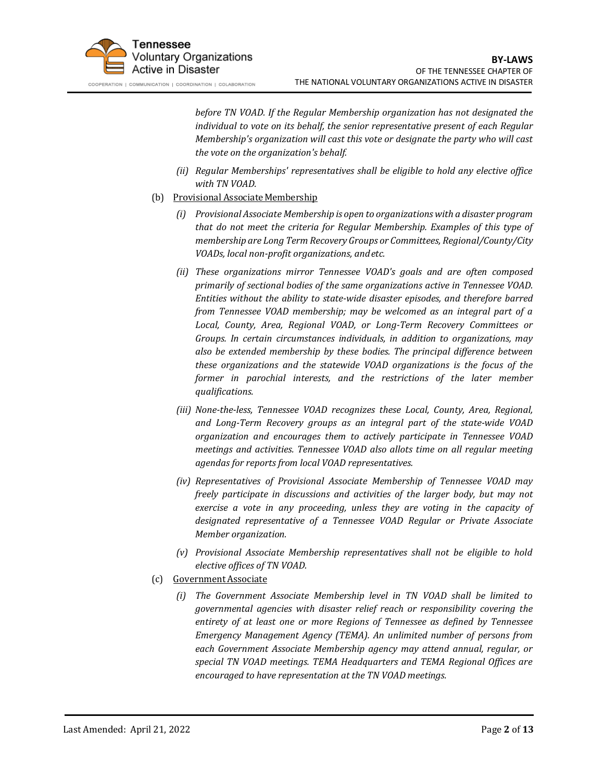

*before TN VOAD. If the Regular Membership organization has not designated the individual to vote on its behalf, the senior representative present of each Regular Membership's organization will cast this vote or designate the party who will cast the vote on the organization's behalf.*

- *(ii) Regular Memberships' representatives shall be eligible to hold any elective office with TN VOAD.*
- (b) Provisional Associate Membership
	- *(i) Provisional Associate Membership is open to organizations with a disaster program that do not meet the criteria for Regular Membership. Examples of this type of membership are Long Term Recovery Groups or Committees, Regional/County/City VOADs, local non-profit organizations, andetc.*
	- *(ii) These organizations mirror Tennessee VOAD's goals and are often composed primarily of sectional bodies of the same organizations active in Tennessee VOAD. Entities without the ability to state-wide disaster episodes, and therefore barred from Tennessee VOAD membership; may be welcomed as an integral part of a Local, County, Area, Regional VOAD, or Long-Term Recovery Committees or Groups. In certain circumstances individuals, in addition to organizations, may also be extended membership by these bodies. The principal difference between these organizations and the statewide VOAD organizations is the focus of the former in parochial interests, and the restrictions of the later member qualifications.*
	- *(iii) None-the-less, Tennessee VOAD recognizes these Local, County, Area, Regional, and Long-Term Recovery groups as an integral part of the state-wide VOAD organization and encourages them to actively participate in Tennessee VOAD meetings and activities. Tennessee VOAD also allots time on all regular meeting agendas for reports from local VOAD representatives.*
	- *(iv) Representatives of Provisional Associate Membership of Tennessee VOAD may freely participate in discussions and activities of the larger body, but may not exercise a vote in any proceeding, unless they are voting in the capacity of designated representative of a Tennessee VOAD Regular or Private Associate Member organization.*
	- *(v) Provisional Associate Membership representatives shall not be eligible to hold elective offices of TN VOAD.*
- (c) GovernmentAssociate
	- *(i) The Government Associate Membership level in TN VOAD shall be limited to governmental agencies with disaster relief reach or responsibility covering the entirety of at least one or more Regions of Tennessee as defined by Tennessee Emergency Management Agency (TEMA). An unlimited number of persons from each Government Associate Membership agency may attend annual, regular, or special TN VOAD meetings. TEMA Headquarters and TEMA Regional Offices are encouraged to have representation at the TN VOAD meetings.*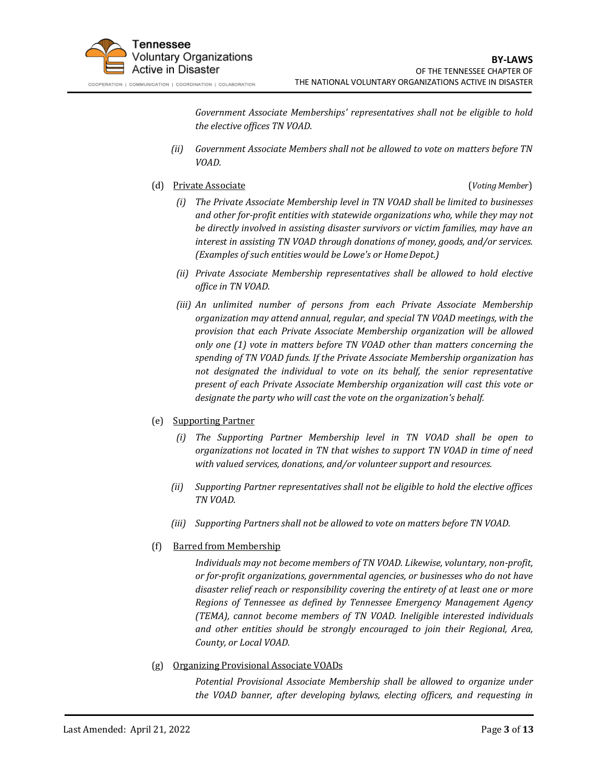

*Government Associate Memberships' representatives shall not be eligible to hold the elective offices TN VOAD.*

- *(ii) Government Associate Members shall not be allowed to vote on matters before TN VOAD.*
- (d) Private Associate (*Voting Member*)

- *(i) The Private Associate Membership level in TN VOAD shall be limited to businesses and other for-profit entities with statewide organizations who, while they may not be directly involved in assisting disaster survivors or victim families, may have an interest in assisting TN VOAD through donations of money, goods, and/or services. (Examples of such entities would be Lowe's or HomeDepot.)*
- *(ii) Private Associate Membership representatives shall be allowed to hold elective office in TN VOAD.*
- *(iii) An unlimited number of persons from each Private Associate Membership organization may attend annual, regular, and special TN VOAD meetings, with the provision that each Private Associate Membership organization will be allowed only one (1) vote in matters before TN VOAD other than matters concerning the spending of TN VOAD funds. If the Private Associate Membership organization has not designated the individual to vote on its behalf, the senior representative present of each Private Associate Membership organization will cast this vote or designate the party who will cast the vote on the organization's behalf.*
- (e) Supporting Partner
	- *(i) The Supporting Partner Membership level in TN VOAD shall be open to organizations not located in TN that wishes to support TN VOAD in time of need with valued services, donations, and/or volunteer support and resources.*
	- *(ii) Supporting Partner representatives shall not be eligible to hold the elective offices TN VOAD.*
	- *(iii) Supporting Partners shall not be allowed to vote on matters before TN VOAD.*
- (f) Barred from Membership

*Individuals may not become members of TN VOAD. Likewise, voluntary, non-profit, or for-profit organizations, governmental agencies, or businesses who do not have disaster relief reach or responsibility covering the entirety of at least one or more Regions of Tennessee as defined by Tennessee Emergency Management Agency (TEMA), cannot become members of TN VOAD. Ineligible interested individuals and other entities should be strongly encouraged to join their Regional, Area, County, or Local VOAD.*

(g) Organizing Provisional Associate VOADs

*Potential Provisional Associate Membership shall be allowed to organize under the VOAD banner, after developing bylaws, electing officers, and requesting in*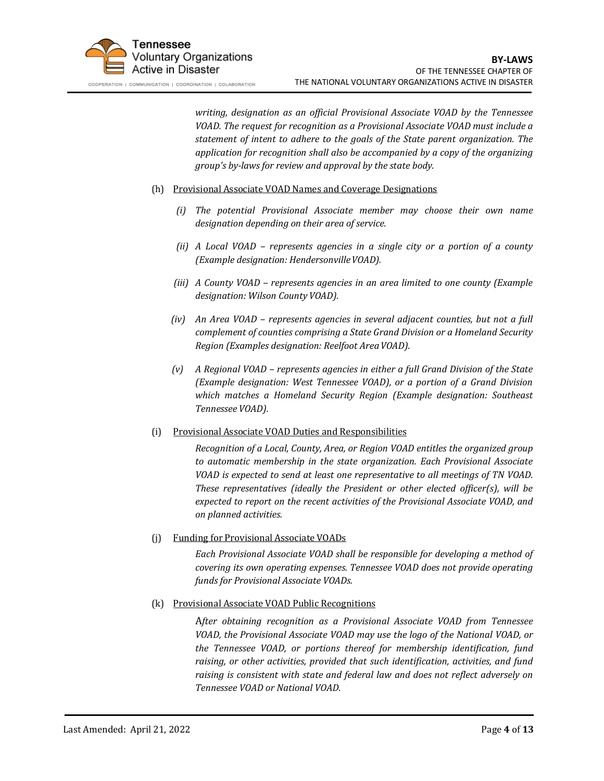

*writing, designation as an official Provisional Associate VOAD by the Tennessee VOAD. The request for recognition as a Provisional Associate VOAD must include a statement of intent to adhere to the goals of the State parent organization. The application for recognition shall also be accompanied by a copy of the organizing group's by-laws for review and approval by the state body.*

- (h) Provisional Associate VOAD Names and Coverage Designations
	- *(i) The potential Provisional Associate member may choose their own name designation depending on their area of service.*
	- *(ii) A Local VOAD – represents agencies in a single city or a portion of a county (Example designation: HendersonvilleVOAD).*
	- *(iii) A County VOAD – represents agencies in an area limited to one county (Example designation: Wilson County VOAD).*
	- *(iv) An Area VOAD – represents agencies in several adjacent counties, but not a full complement of counties comprising a State Grand Division or a Homeland Security Region (Examples designation: Reelfoot AreaVOAD).*
	- *(v) A Regional VOAD – represents agencies in either a full Grand Division of the State (Example designation: West Tennessee VOAD), or a portion of a Grand Division which matches a Homeland Security Region (Example designation: Southeast Tennessee VOAD).*
- (i) Provisional Associate VOAD Duties and Responsibilities

*Recognition of a Local, County, Area, or Region VOAD entitles the organized group to automatic membership in the state organization. Each Provisional Associate VOAD is expected to send at least one representative to all meetings of TN VOAD. These representatives (ideally the President or other elected officer(s), will be expected to report on the recent activities of the Provisional Associate VOAD, and on planned activities.*

(j) Funding for Provisional Associate VOADs

*Each Provisional Associate VOAD shall be responsible for developing a method of covering its own operating expenses. Tennessee VOAD does not provide operating funds for Provisional Associate VOADs.*

(k) Provisional Associate VOAD Public Recognitions

A*fter obtaining recognition as a Provisional Associate VOAD from Tennessee VOAD, the Provisional Associate VOAD may use the logo of the National VOAD, or the Tennessee VOAD, or portions thereof for membership identification, fund raising, or other activities, provided that such identification, activities, and fund raising is consistent with state and federal law and does not reflect adversely on Tennessee VOAD or National VOAD.*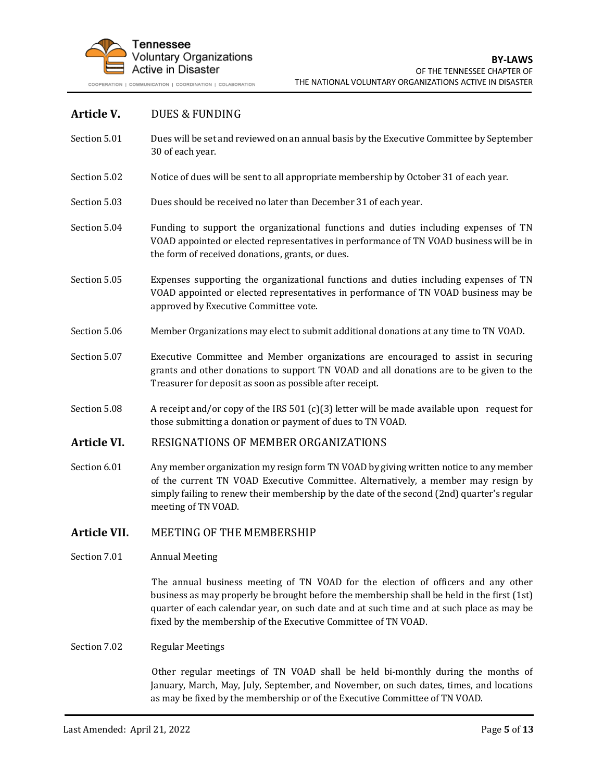

# **Article V.** DUES & FUNDING

- Section 5.01 Dues will be set and reviewed on an annual basis by the Executive Committee by September 30 of each year.
- Section 5.02 Notice of dues will be sent to all appropriate membership by October 31 of each year.
- Section 5.03 Dues should be received no later than December 31 of each year.
- Section 5.04 Funding to support the organizational functions and duties including expenses of TN VOAD appointed or elected representatives in performance of TN VOAD business will be in the form of received donations, grants, or dues.
- Section 5.05 Expenses supporting the organizational functions and duties including expenses of TN VOAD appointed or elected representatives in performance of TN VOAD business may be approved by Executive Committee vote.
- Section 5.06 Member Organizations may elect to submit additional donations at any time to TN VOAD.
- Section 5.07 Executive Committee and Member organizations are encouraged to assist in securing grants and other donations to support TN VOAD and all donations are to be given to the Treasurer for deposit as soon as possible after receipt.
- Section 5.08 A receipt and/or copy of the IRS 501 (c)(3) letter will be made available upon request for those submitting a donation or payment of dues to TN VOAD.

## **Article VI.** RESIGNATIONS OF MEMBERORGANIZATIONS

Section 6.01 Any member organization my resign form TN VOAD by giving written notice to any member of the current TN VOAD Executive Committee. Alternatively, a member may resign by simply failing to renew their membership by the date of the second (2nd) quarter's regular meeting of TN VOAD.

## **Article VII.** MEETING OF THE MEMBERSHIP

#### Section 7.01 Annual Meeting

The annual business meeting of TN VOAD for the election of officers and any other business as may properly be brought before the membership shall be held in the first (1st) quarter of each calendar year, on such date and at such time and at such place as may be fixed by the membership of the Executive Committee of TN VOAD.

#### Section 7.02 Regular Meetings

Other regular meetings of TN VOAD shall be held bi-monthly during the months of January, March, May, July, September, and November, on such dates, times, and locations as may be fixed by the membership or of the Executive Committee of TN VOAD.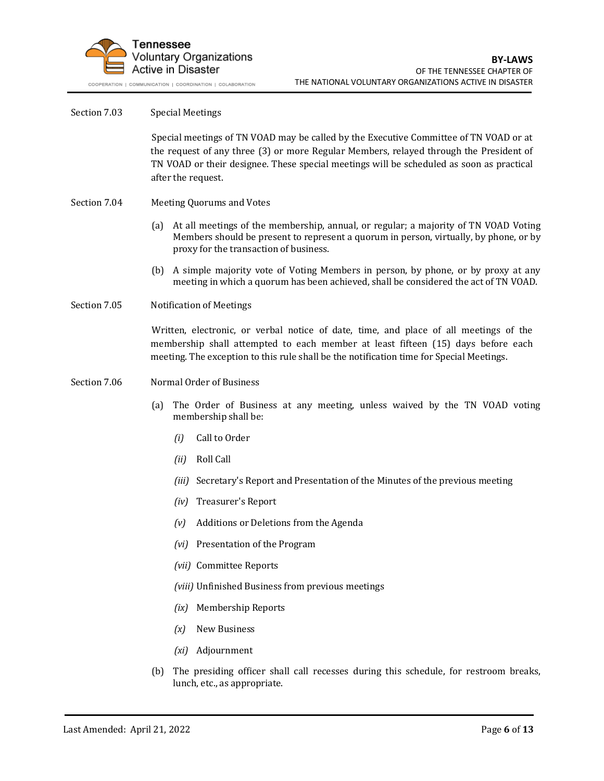

#### Section 7.03 Special Meetings

Special meetings of TN VOAD may be called by the Executive Committee of TN VOAD or at the request of any three (3) or more Regular Members, relayed through the President of TN VOAD or their designee. These special meetings will be scheduled as soon as practical after the request.

#### Section 7.04 Meeting Quorums and Votes

- (a) At all meetings of the membership, annual, or regular; a majority of TN VOAD Voting Members should be present to represent a quorum in person, virtually, by phone, or by proxy for the transaction of business.
- (b) A simple majority vote of Voting Members in person, by phone, or by proxy at any meeting in which a quorum has been achieved, shall be considered the act of TN VOAD.

#### Section 7.05 Notification of Meetings

Written, electronic, or verbal notice of date, time, and place of all meetings of the membership shall attempted to each member at least fifteen (15) days before each meeting. The exception to this rule shall be the notification time for Special Meetings.

#### Section 7.06 Normal Order of Business

- (a) The Order of Business at any meeting, unless waived by the TN VOAD voting membership shall be:
	- *(i)* Call to Order
	- *(ii)* Roll Call
	- *(iii)* Secretary's Report and Presentation of the Minutes of the previous meeting
	- *(iv)* Treasurer's Report
	- *(v)* Additions or Deletions from the Agenda
	- *(vi)* Presentation of the Program
	- *(vii)* Committee Reports
	- *(viii)* Unfinished Business from previous meetings
	- *(ix)* Membership Reports
	- *(x)* New Business
	- *(xi)* Adjournment
- (b) The presiding officer shall call recesses during this schedule, for restroom breaks, lunch, etc., as appropriate.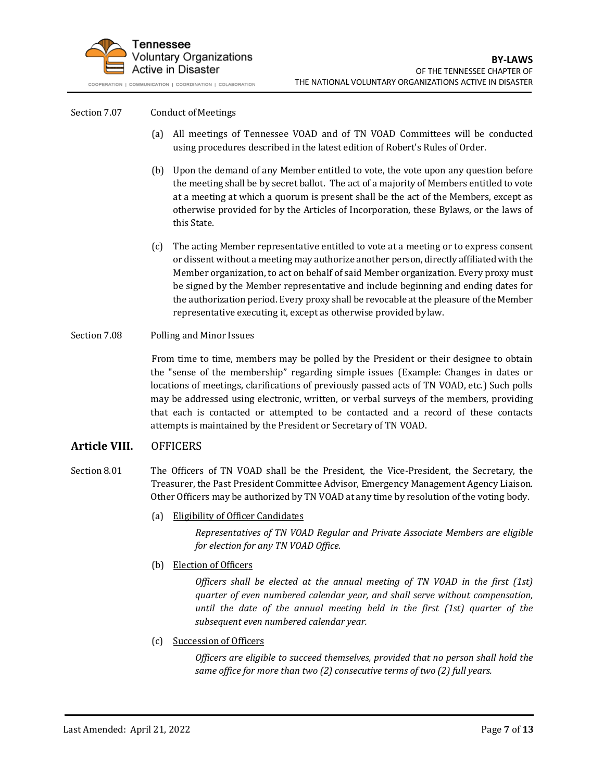

#### Section 7.07 Conduct of Meetings

- (a) All meetings of Tennessee VOAD and of TN VOAD Committees will be conducted using procedures described in the latest edition of Robert's Rules of Order.
- (b) Upon the demand of any Member entitled to vote, the vote upon any question before the meeting shall be by secret ballot. The act of a majority of Members entitled to vote at a meeting at which a quorum is present shall be the act of the Members, except as otherwise provided for by the Articles of Incorporation, these Bylaws, or the laws of this State.
- (c) The acting Member representative entitled to vote at a meeting or to express consent or dissent without a meeting may authorize another person, directly affiliated with the Member organization, to act on behalf of said Member organization. Every proxy must be signed by the Member representative and include beginning and ending dates for the authorization period. Every proxy shall be revocable atthe pleasure of the Member representative executing it, except as otherwise provided bylaw.

#### Section 7.08 Polling and Minor Issues

From time to time, members may be polled by the President or their designee to obtain the "sense of the membership" regarding simple issues (Example: Changes in dates or locations of meetings, clarifications of previously passed acts of TN VOAD, etc.) Such polls may be addressed using electronic, written, or verbal surveys of the members, providing that each is contacted or attempted to be contacted and a record of these contacts attempts is maintained by the President or Secretary of TN VOAD.

## **Article VIII.** OFFICERS

- Section 8.01 The Officers of TN VOAD shall be the President, the Vice-President, the Secretary, the Treasurer, the Past President Committee Advisor, Emergency Management Agency Liaison. Other Officers may be authorized by TN VOAD at any time by resolution of the voting body.
	- (a) Eligibility of Officer Candidates

*Representatives of TN VOAD Regular and Private Associate Members are eligible for election for any TN VOAD Office.*

(b) Election of Officers

*Officers shall be elected at the annual meeting of TN VOAD in the first (1st) quarter of even numbered calendar year, and shall serve without compensation, until the date of the annual meeting held in the first (1st) quarter of the subsequent even numbered calendar year.*

(c) Succession of Officers

*Officers are eligible to succeed themselves, provided that no person shall hold the same office for more than two (2) consecutive terms of two (2) full years.*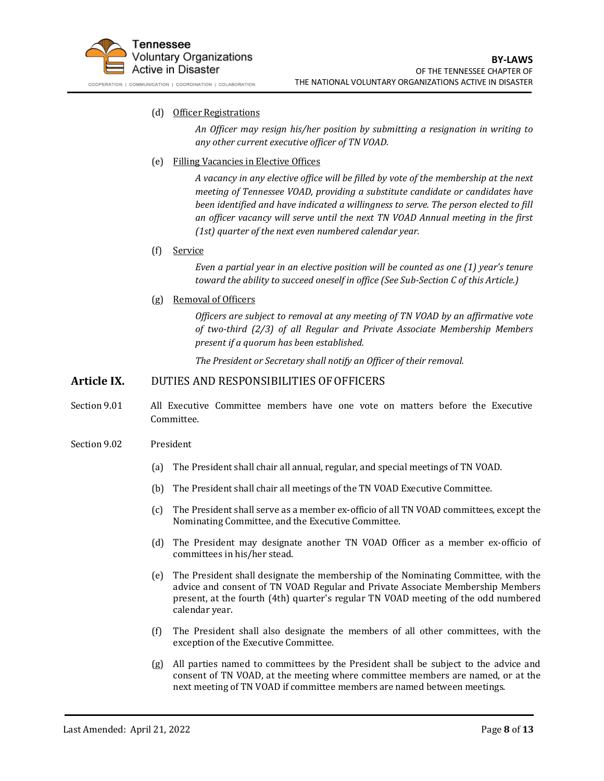

## (d) Officer Registrations

*An Officer may resign his/her position by submitting a resignation in writing to any other current executive officer of TN VOAD.*

(e) Filling Vacancies in Elective Offices

*A vacancy in any elective office will be filled by vote of the membership at the next meeting of Tennessee VOAD, providing a substitute candidate or candidates have been identified and have indicated a willingness to serve. The person elected to fill an officer vacancy will serve until the next TN VOAD Annual meeting in the first (1st) quarter of the next even numbered calendar year.*

(f) Service

*Even a partial year in an elective position will be counted as one (1) year's tenure toward the ability to succeed oneself in office (See Sub-Section C of this Article.)*

## (g) Removal of Officers

*Officers are subject to removal at any meeting of TN VOAD by an affirmative vote of two-third (2/3) of all Regular and Private Associate Membership Members present if a quorum has been established.*

*The President or Secretary shall notify an Officer of their removal.*

## Article IX. DUTIES AND RESPONSIBILITIES OF OFFICERS

- Section 9.01 All Executive Committee members have one vote on matters before the Executive Committee.
- Section 9.02 President
	- (a) The President shall chair all annual, regular, and special meetings of TN VOAD.
	- (b) The President shall chair all meetings of the TN VOAD Executive Committee.
	- (c) The President shall serve as a member ex-officio of all TN VOAD committees, except the Nominating Committee, and the Executive Committee.
	- (d) The President may designate another TN VOAD Officer as a member ex-officio of committees in his/her stead.
	- (e) The President shall designate the membership of the Nominating Committee, with the advice and consent of TN VOAD Regular and Private Associate Membership Members present, at the fourth (4th) quarter's regular TN VOAD meeting of the odd numbered calendar year.
	- (f) The President shall also designate the members of all other committees, with the exception of the Executive Committee.
	- (g) All parties named to committees by the President shall be subject to the advice and consent of TN VOAD, at the meeting where committee members are named, or at the next meeting of TN VOAD if committee members are named between meetings.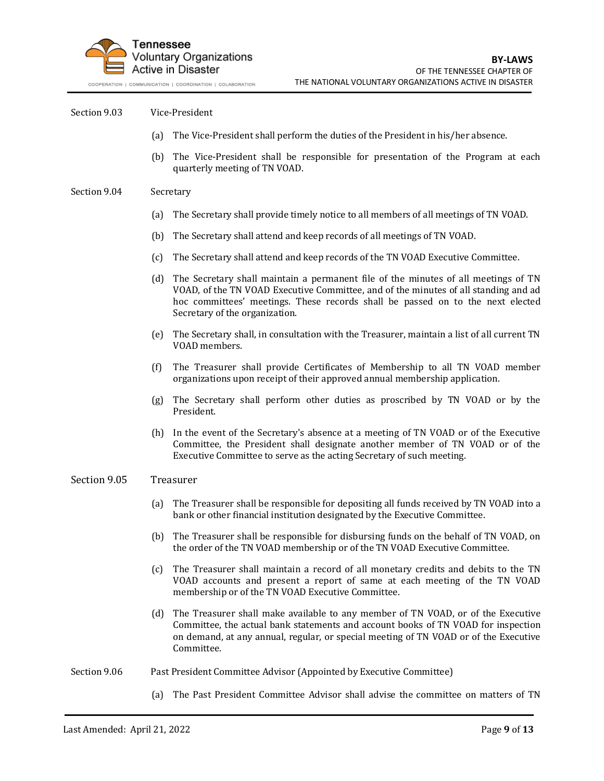

#### Section 9.03 Vice-President

- (a) The Vice-President shall perform the duties of the President in his/her absence.
- (b) The Vice-President shall be responsible for presentation of the Program at each quarterly meeting of TN VOAD.

#### Section 9.04 Secretary

- (a) The Secretary shall provide timely notice to all members of all meetings of TN VOAD.
- (b) The Secretary shall attend and keep records of all meetings of TN VOAD.
- (c) The Secretary shall attend and keep records of the TN VOAD Executive Committee.
- (d) The Secretary shall maintain a permanent file of the minutes of all meetings of TN VOAD, of the TN VOAD Executive Committee, and of the minutes of all standing and ad hoc committees' meetings. These records shall be passed on to the next elected Secretary of the organization.
- (e) The Secretary shall, in consultation with the Treasurer, maintain a list of all current TN VOAD members.
- (f) The Treasurer shall provide Certificates of Membership to all TN VOAD member organizations upon receipt of their approved annual membership application.
- (g) The Secretary shall perform other duties as proscribed by TN VOAD or by the President.
- (h) In the event of the Secretary's absence at a meeting of TN VOAD or of the Executive Committee, the President shall designate another member of TN VOAD or of the Executive Committee to serve as the acting Secretary of such meeting.

## Section 9.05 Treasurer

- (a) The Treasurer shall be responsible for depositing all funds received by TN VOAD into a bank or other financial institution designated by the Executive Committee.
- (b) The Treasurer shall be responsible for disbursing funds on the behalf of TN VOAD, on the order of the TN VOAD membership or of the TN VOAD Executive Committee.
- (c) The Treasurer shall maintain a record of all monetary credits and debits to the TN VOAD accounts and present a report of same at each meeting of the TN VOAD membership or of the TN VOAD Executive Committee.
- (d) The Treasurer shall make available to any member of TN VOAD, or of the Executive Committee, the actual bank statements and account books of TN VOAD for inspection on demand, at any annual, regular, or special meeting of TN VOAD or of the Executive Committee.
- Section 9.06 Past President Committee Advisor (Appointed by Executive Committee)
	- (a) The Past President Committee Advisor shall advise the committee on matters of TN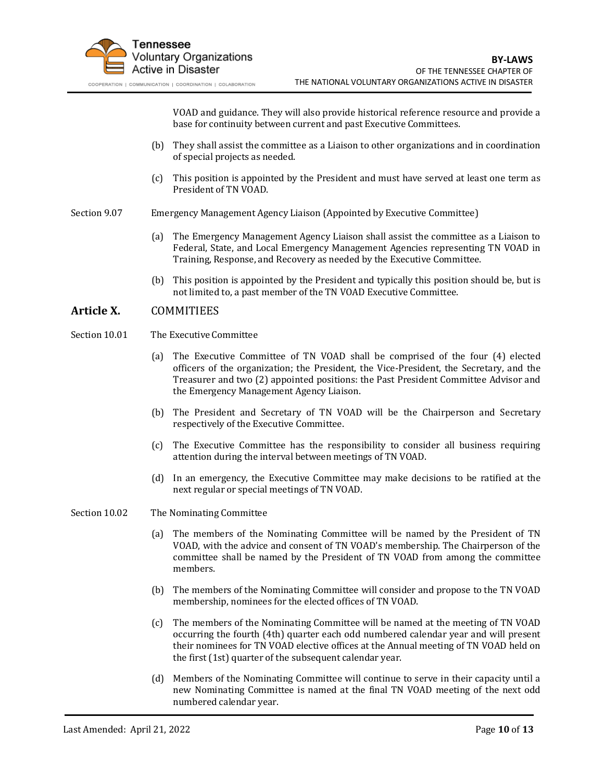

VOAD and guidance. They will also provide historical reference resource and provide a base for continuity between current and past Executive Committees.

- (b) They shall assist the committee as a Liaison to other organizations and in coordination of special projects as needed.
- (c) This position is appointed by the President and must have served at least one term as President of TN VOAD.
- Section 9.07 Emergency Management Agency Liaison (Appointed by Executive Committee)
	- (a) The Emergency Management Agency Liaison shall assist the committee as a Liaison to Federal, State, and Local Emergency Management Agencies representing TN VOAD in Training, Response, and Recovery as needed by the Executive Committee.
	- (b) This position is appointed by the President and typically this position should be, but is not limited to, a past member of the TN VOAD Executive Committee.

## **Article X.** COMMITIEES

#### Section 10.01 The Executive Committee

- (a) The Executive Committee of TN VOAD shall be comprised of the four (4) elected officers of the organization; the President, the Vice-President, the Secretary, and the Treasurer and two (2) appointed positions: the Past President Committee Advisor and the Emergency Management Agency Liaison.
- (b) The President and Secretary of TN VOAD will be the Chairperson and Secretary respectively of the Executive Committee.
- (c) The Executive Committee has the responsibility to consider all business requiring attention during the interval between meetings of TN VOAD.
- (d) In an emergency, the Executive Committee may make decisions to be ratified at the next regular or special meetings of TN VOAD.

#### Section 10.02 The Nominating Committee

- (a) The members of the Nominating Committee will be named by the President of TN VOAD, with the advice and consent of TN VOAD's membership. The Chairperson of the committee shall be named by the President of TN VOAD from among the committee members.
- (b) The members of the Nominating Committee will consider and propose to the TN VOAD membership, nominees for the elected offices of TN VOAD.
- (c) The members of the Nominating Committee will be named at the meeting of TN VOAD occurring the fourth (4th) quarter each odd numbered calendar year and will present their nominees for TN VOAD elective offices at the Annual meeting of TN VOAD held on the first (1st) quarter of the subsequent calendar year.
- (d) Members of the Nominating Committee will continue to serve in their capacity until a new Nominating Committee is named at the final TN VOAD meeting of the next odd numbered calendar year.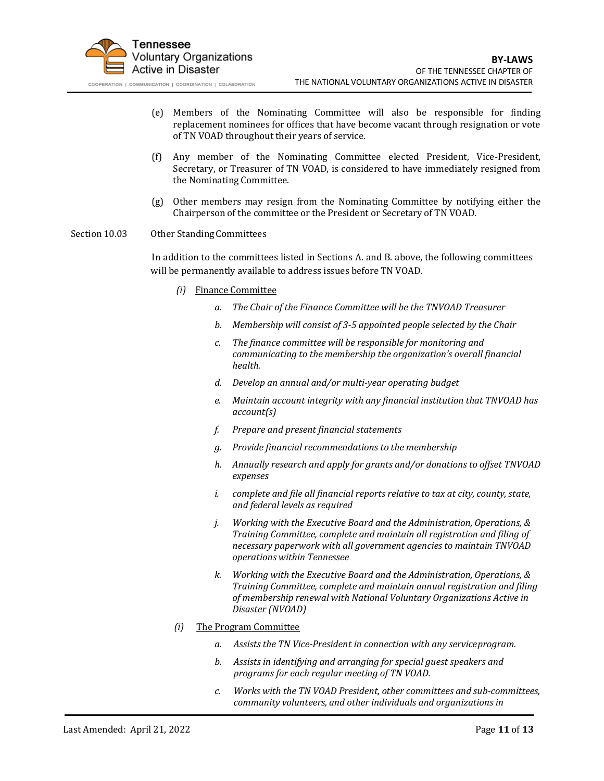

- (e) Members of the Nominating Committee will also be responsible for finding replacement nominees for offices that have become vacant through resignation or vote of TN VOAD throughout their years of service.
- (f) Any member of the Nominating Committee elected President, Vice-President, Secretary, or Treasurer of TN VOAD, is considered to have immediately resigned from the Nominating Committee.
- (g) Other members may resign from the Nominating Committee by notifying either the Chairperson of the committee or the President or Secretary of TN VOAD.

Section 10.03 Other Standing Committees

In addition to the committees listed in Sections A. and B. above, the following committees will be permanently available to address issues before TN VOAD.

- *(i)* Finance Committee
	- *a. The Chair of the Finance Committee will be the TNVOAD Treasurer*
	- *b. Membership will consist of 3-5 appointed people selected by the Chair*
	- *c. The finance committee will be responsible for monitoring and communicating to the membership the organization's overall financial health.*
	- *d. Develop an annual and/or multi-year operating budget*
	- *e. Maintain account integrity with any financial institution that TNVOAD has account(s)*
	- *f. Prepare and present financial statements*
	- *g. Provide financial recommendations to the membership*
	- *h. Annually research and apply for grants and/or donations to offset TNVOAD expenses*
	- *i. complete and file all financial reports relative to tax at city, county, state, and federal levels as required*
	- *j. Working with the Executive Board and the Administration, Operations, & Training Committee, complete and maintain all registration and filing of necessary paperwork with all government agencies to maintain TNVOAD operations within Tennessee*
	- *k. Working with the Executive Board and the Administration, Operations, & Training Committee, complete and maintain annual registration and filing of membership renewal with National Voluntary Organizations Active in Disaster (NVOAD)*
- *(i)* The Program Committee
	- *a. Assists the TN Vice-President in connection with any serviceprogram.*
	- *b. Assists in identifying and arranging for special guest speakers and programs for each regular meeting of TN VOAD.*
	- *c. Works with the TN VOAD President, other committees and sub-committees, community volunteers, and other individuals and organizations in*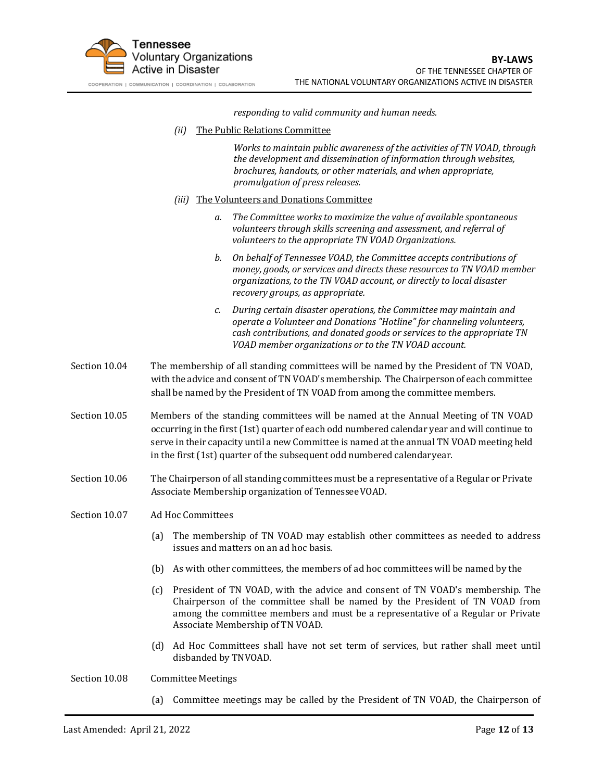

*responding to valid community and human needs.*

*(ii)* The Public Relations Committee

*Works to maintain public awareness of the activities of TN VOAD, through the development and dissemination of information through websites, brochures, handouts, or other materials, and when appropriate, promulgation of press releases.*

- *(iii)* The Volunteers and Donations Committee
	- *a. The Committee works to maximize the value of available spontaneous volunteers through skills screening and assessment, and referral of volunteers to the appropriate TN VOAD Organizations.*
	- *b. On behalf of Tennessee VOAD, the Committee accepts contributions of money, goods, or services and directs these resources to TN VOAD member organizations, to the TN VOAD account, or directly to local disaster recovery groups, as appropriate.*
	- *c. During certain disaster operations, the Committee may maintain and operate a Volunteer and Donations "Hotline" for channeling volunteers, cash contributions, and donated goods or services to the appropriate TN VOAD member organizations or to the TN VOAD account.*
- Section 10.04 The membership of all standing committees will be named by the President of TN VOAD, with the advice and consent of TN VOAD's membership. The Chairperson of each committee shall be named by the President of TN VOAD from among the committee members.
- Section 10.05 Members of the standing committees will be named at the Annual Meeting of TN VOAD occurring in the first(1st) quarter of each odd numbered calendar year and will continue to serve in their capacity until a new Committee is named atthe annual TN VOAD meeting held in the first (1st) quarter of the subsequent odd numbered calendaryear.
- Section 10.06 The Chairperson of all standing committees must be a representative of a Regular or Private Associate Membership organization of TennesseeVOAD.
- Section 10.07 Ad Hoc Committees
	- (a) The membership of TN VOAD may establish other committees as needed to address issues and matters on an ad hoc basis.
	- (b) As with other committees, the members of ad hoc committees will be named by the
	- (c) President of TN VOAD, with the advice and consent of TN VOAD's membership. The Chairperson of the committee shall be named by the President of TN VOAD from among the committee members and must be a representative of a Regular or Private Associate Membership of TN VOAD.
	- (d) Ad Hoc Committees shall have not set term of services, but rather shall meet until disbanded by TNVOAD.

Section 10.08 Committee Meetings

(a) Committee meetings may be called by the President of TN VOAD, the Chairperson of